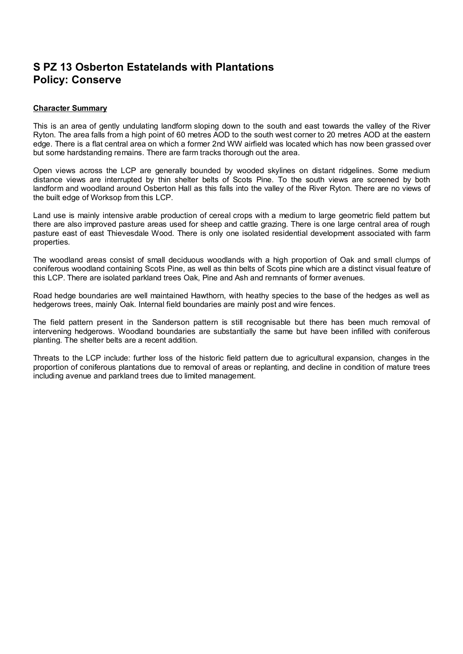# **S PZ 13 Osberton Estatelands with Plantations Policy: Conserve**

## **Character Summary**

This is an area of gently undulating landform sloping down to the south and east towards the valley of the River Ryton. The area falls from a high point of 60 metres AOD to the south west corner to 20 metres AOD at the eastern edge. There is a flat central area on which a former 2nd WW airfield was located which has now been grassed over but some hardstanding remains. There are farm tracks thorough out the area.

Open views across the LCP are generally bounded by wooded skylines on distant ridgelines. Some medium distance views are interrupted by thin shelter belts of Scots Pine. To the south views are screened by both landform and woodland around Osberton Hall as this falls into the valley of the River Ryton. There are no views of the built edge of Worksop from this LCP.

Land use is mainly intensive arable production of cereal crops with a medium to large geometric field pattern but there are also improved pasture areas used for sheep and cattle grazing. There is one large central area of rough pasture east of east Thievesdale Wood. There is only one isolated residential development associated with farm properties.

The woodland areas consist of small deciduous woodlands with a high proportion of Oak and small clumps of coniferous woodland containing Scots Pine, as well as thin belts of Scots pine which are a distinct visual feature of this LCP. There are isolated parkland trees Oak, Pine and Ash and remnants of former avenues.

Road hedge boundaries are well maintained Hawthorn, with heathy species to the base of the hedges as well as hedgerows trees, mainly Oak. Internal field boundaries are mainly post and wire fences.

The field pattern present in the Sanderson pattern is still recognisable but there has been much removal of intervening hedgerows. Woodland boundaries are substantially the same but have been infilled with coniferous planting. The shelter belts are a recent addition.

Threats to the LCP include: further loss of the historic field pattern due to agricultural expansion, changes in the proportion of coniferous plantations due to removal of areas or replanting, and decline in condition of mature trees including avenue and parkland trees due to limited management.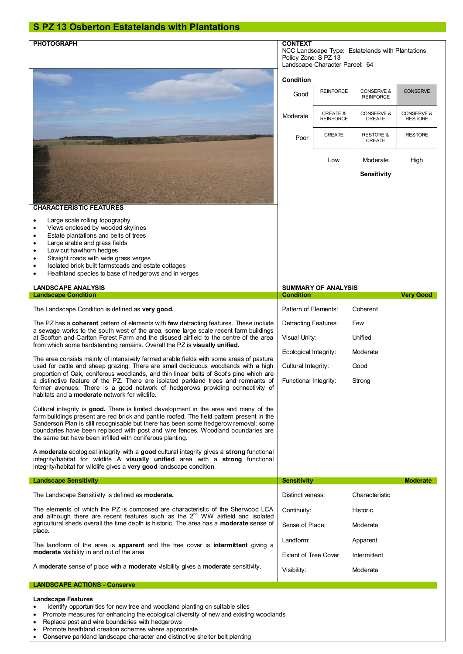# **S PZ 13 Osberton Estatelands with Plantations**

| <b>PHOTOGRAPH</b>                                                                                                                                                                                                                                                                                                                                                                                                                                                                                        | <b>CONTEXT</b>                                                                                             |                              |                                       |                              |
|----------------------------------------------------------------------------------------------------------------------------------------------------------------------------------------------------------------------------------------------------------------------------------------------------------------------------------------------------------------------------------------------------------------------------------------------------------------------------------------------------------|------------------------------------------------------------------------------------------------------------|------------------------------|---------------------------------------|------------------------------|
|                                                                                                                                                                                                                                                                                                                                                                                                                                                                                                          | NCC Landscape Type: Estatelands with Plantations<br>Policy Zone: S PZ 13<br>Landscape Character Parcel: 64 |                              |                                       |                              |
|                                                                                                                                                                                                                                                                                                                                                                                                                                                                                                          | Condition                                                                                                  |                              |                                       |                              |
|                                                                                                                                                                                                                                                                                                                                                                                                                                                                                                          | Good                                                                                                       | <b>REINFORCE</b>             | CONSERVE &<br><b>REINFORCE</b>        | <b>CONSERVE</b>              |
|                                                                                                                                                                                                                                                                                                                                                                                                                                                                                                          | Moderate                                                                                                   | CREATE &<br><b>REINFORCE</b> | CONSERVE &<br><b>CREATE</b>           | CONSERVE &<br><b>RESTORE</b> |
|                                                                                                                                                                                                                                                                                                                                                                                                                                                                                                          | Poor                                                                                                       | <b>CREATE</b>                | <b>RESTORE &amp;</b><br><b>CREATE</b> | <b>RESTORE</b>               |
|                                                                                                                                                                                                                                                                                                                                                                                                                                                                                                          |                                                                                                            | Low                          | Moderate                              | High                         |
|                                                                                                                                                                                                                                                                                                                                                                                                                                                                                                          |                                                                                                            |                              | Sensitivity                           |                              |
| <b>CHARACTERISTIC FEATURES</b>                                                                                                                                                                                                                                                                                                                                                                                                                                                                           |                                                                                                            |                              |                                       |                              |
| Large scale rolling topography<br>Views enclosed by wooded skylines<br>Estate plantations and belts of trees<br>٠<br>Large arable and grass fields<br>$\bullet$<br>Low cut hawthorn hedges<br>$\bullet$<br>Straight roads with wide grass verges<br>Isolated brick built farmsteads and estate cottages<br>Heathland species to base of hedgerows and in verges                                                                                                                                          |                                                                                                            |                              |                                       |                              |
| <b>LANDSCAPE ANALYSIS</b>                                                                                                                                                                                                                                                                                                                                                                                                                                                                                | <b>SUMMARY OF ANALYSIS</b>                                                                                 |                              |                                       |                              |
| <b>Landscape Condition</b><br>The Landscape Condition is defined as very good.                                                                                                                                                                                                                                                                                                                                                                                                                           | <b>Condition</b><br>Pattern of Elements:<br>Coherent                                                       |                              |                                       | <b>Very Good</b>             |
| The PZ has a coherent pattern of elements with few detracting features. These include<br>a sewage works to the south west of the area, some large scale recent farm buildings<br>at Scofton and Carlton Forest Farm and the disused airfield to the centre of the area<br>from which some hardstanding remains. Overall the PZ is visually unified.                                                                                                                                                      | Detracting Features:<br>Few                                                                                |                              |                                       |                              |
|                                                                                                                                                                                                                                                                                                                                                                                                                                                                                                          | Visual Unity:<br>Unified                                                                                   |                              |                                       |                              |
| The area consists mainly of intensively farmed arable fields with some areas of pasture<br>used for cattle and sheep grazing. There are small deciduous woodlands with a high<br>proportion of Oak, coniferous woodlands, and thin linear belts of Scot's pine which are<br>a distinctive feature of the PZ. There are isolated parkland trees and remnants of<br>former avenues. There is a good network of hedgerows providing connectivity of<br>habitats and a <b>moderate</b> network for wildlife. | Ecological Integrity:                                                                                      |                              | Moderate                              |                              |
|                                                                                                                                                                                                                                                                                                                                                                                                                                                                                                          | Cultural Integrity:<br>Good                                                                                |                              |                                       |                              |
|                                                                                                                                                                                                                                                                                                                                                                                                                                                                                                          | Functional Integrity:                                                                                      |                              | Strong                                |                              |
| Cultural integrity is good. There is limited development in the area and many of the<br>farm buildings present are red brick and pantile roofed. The field pattern present in the<br>Sanderson Plan is still recognisable but there has been some hedgerow removal; some<br>boundaries have been replaced with post and wire fences. Woodland boundaries are<br>the same but have been infilled with coniferous planting.                                                                                |                                                                                                            |                              |                                       |                              |
| A moderate ecological integrity with a good cultural integrity gives a strong functional<br>integrity/habitat for wildlife A visually unified area with a strong functional<br>integrity/habitat for wildlife gives a very good landscape condition.                                                                                                                                                                                                                                                     |                                                                                                            |                              |                                       |                              |
| <b>Landscape Sensitivity</b>                                                                                                                                                                                                                                                                                                                                                                                                                                                                             | Sensitivity                                                                                                |                              |                                       | <b>Moderate</b>              |
| The Landscape Sensitivity is defined as <b>moderate.</b>                                                                                                                                                                                                                                                                                                                                                                                                                                                 | Distinctiveness:                                                                                           |                              | Characteristic                        |                              |
| The elements of which the PZ is composed are characteristic of the Sherwood LCA<br>and although there are recent features such as the 2 <sup>nd</sup> WW airfield and isolated<br>agricultural sheds overall the time depth is historic. The area has a <b>moderate</b> sense of<br>place.                                                                                                                                                                                                               | Continuity:                                                                                                |                              | Historic                              |                              |
|                                                                                                                                                                                                                                                                                                                                                                                                                                                                                                          | Sense of Place:                                                                                            |                              | Moderate                              |                              |
| The landform of the area is apparent and the tree cover is intermittent giving a<br>moderate visibility in and out of the area                                                                                                                                                                                                                                                                                                                                                                           | Landform:<br>Apparent                                                                                      |                              |                                       |                              |
|                                                                                                                                                                                                                                                                                                                                                                                                                                                                                                          | <b>Extent of Tree Cover</b>                                                                                |                              | Intermittent                          |                              |
| A moderate sense of place with a moderate visibility gives a moderate sensitivity.                                                                                                                                                                                                                                                                                                                                                                                                                       |                                                                                                            | Moderate<br>Visibility:      |                                       |                              |
| <b>LANDSCAPE ACTIONS - Conserve</b>                                                                                                                                                                                                                                                                                                                                                                                                                                                                      |                                                                                                            |                              |                                       |                              |
| <b>Landscape Features</b>                                                                                                                                                                                                                                                                                                                                                                                                                                                                                |                                                                                                            |                              |                                       |                              |

- Identify opportunities for new tree and woodland planting on suitable sites
- · Promote measures for enhancing the ecological diversity of new and existing woodlands
- · Replace post and wire boundaries with hedgerows
- Promote heathland creation schemes where appropriate
- · **Conserve** parkland landscape character and distinctive shelter belt planting